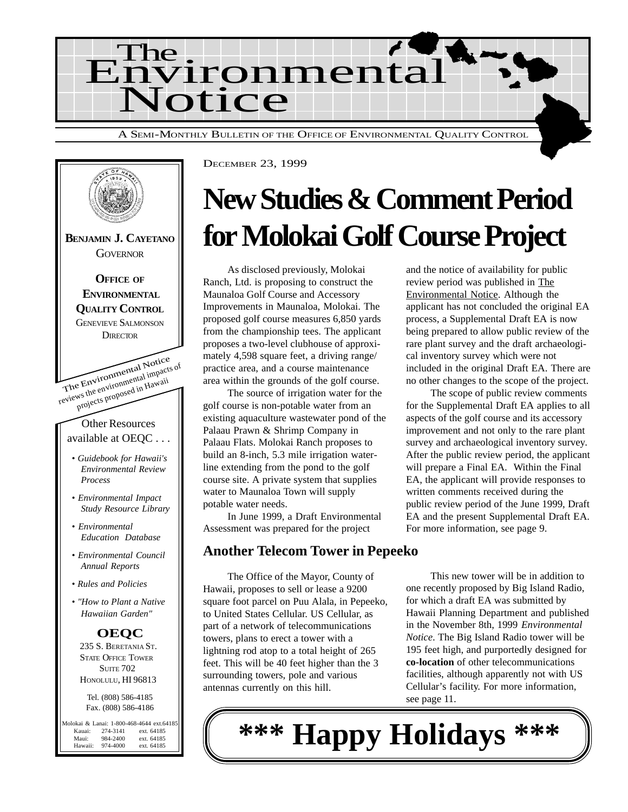



## **New Studies & Comment Period for Molokai Golf Course Project**

As disclosed previously, Molokai Ranch, Ltd. is proposing to construct the Maunaloa Golf Course and Accessory Improvements in Maunaloa, Molokai. The proposed golf course measures 6,850 yards from the championship tees. The applicant proposes a two-level clubhouse of approximately 4,598 square feet, a driving range/ practice area, and a course maintenance area within the grounds of the golf course.

The source of irrigation water for the golf course is non-potable water from an existing aquaculture wastewater pond of the Palaau Prawn & Shrimp Company in Palaau Flats. Molokai Ranch proposes to build an 8-inch, 5.3 mile irrigation waterline extending from the pond to the golf course site. A private system that supplies water to Maunaloa Town will supply potable water needs.

In June 1999, a Draft Environmental Assessment was prepared for the project

#### **Another Telecom Tower in Pepeeko**

The Office of the Mayor, County of Hawaii, proposes to sell or lease a 9200 square foot parcel on Puu Alala, in Pepeeko, to United States Cellular. US Cellular, as part of a network of telecommunications towers, plans to erect a tower with a lightning rod atop to a total height of 265 feet. This will be 40 feet higher than the 3 surrounding towers, pole and various antennas currently on this hill.

and the notice of availability for public review period was published in The Environmental Notice. Although the applicant has not concluded the original EA process, a Supplemental Draft EA is now being prepared to allow public review of the rare plant survey and the draft archaeological inventory survey which were not included in the original Draft EA. There are no other changes to the scope of the project.

The scope of public review comments for the Supplemental Draft EA applies to all aspects of the golf course and its accessory improvement and not only to the rare plant survey and archaeological inventory survey. After the public review period, the applicant will prepare a Final EA. Within the Final EA, the applicant will provide responses to written comments received during the public review period of the June 1999, Draft EA and the present Supplemental Draft EA. For more information, see page 9.

This new tower will be in addition to one recently proposed by Big Island Radio, for which a draft EA was submitted by Hawaii Planning Department and published in the November 8th, 1999 *Environmental Notice*. The Big Island Radio tower will be 195 feet high, and purportedly designed for **co-location** of other telecommunications facilities, although apparently not with US Cellular's facility. For more information, see page 11.

**\*\*\* Happy Holidays \*\*\***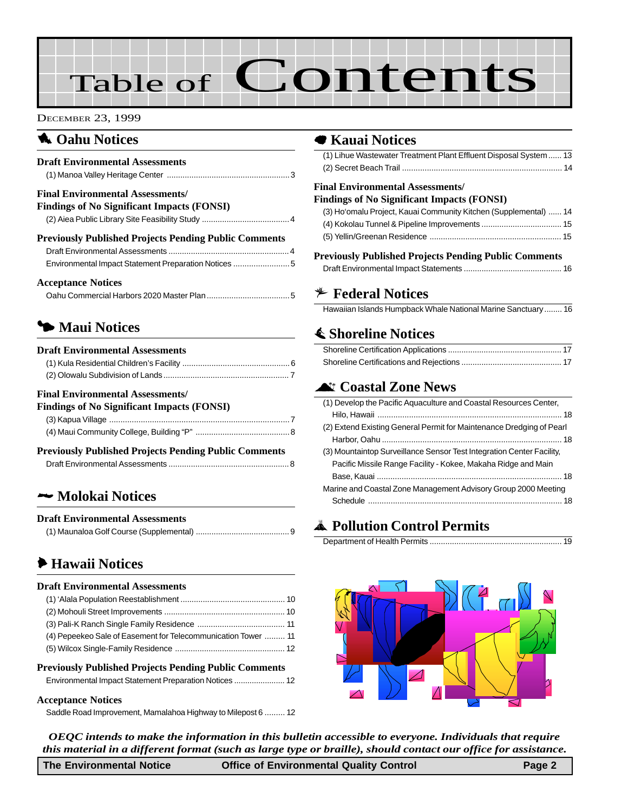# Table of **Contents**

#### DECEMBER 23, 1999

#### **1** Oahu Notices

| <b>Draft Environmental Assessments</b>                                                                               |  |
|----------------------------------------------------------------------------------------------------------------------|--|
| <b>Final Environmental Assessments/</b><br><b>Findings of No Significant Impacts (FONSI)</b>                         |  |
| <b>Previously Published Projects Pending Public Comments</b><br>Environmental Impact Statement Preparation Notices 5 |  |
| <b>Acceptance Notices</b>                                                                                            |  |

#### 3 **Maui Notices**

#### **Draft Environmental Assessments**

#### **Final Environmental Assessments/**

| <b>Findings of No Significant Impacts (FONSI)</b> |  |
|---------------------------------------------------|--|
|                                                   |  |
|                                                   |  |

| <b>Previously Published Projects Pending Public Comments</b> |  |  |  |
|--------------------------------------------------------------|--|--|--|
|                                                              |  |  |  |

#### 2 **Molokai Notices**

#### **Draft Environmental Assessments**

|--|

#### 6 **Hawaii Notices**

#### **Draft Environmental Assessments**

| (4) Pepeekeo Sale of Easement for Telecommunication Tower  11 |  |
|---------------------------------------------------------------|--|
|                                                               |  |
|                                                               |  |

#### **Previously Published Projects Pending Public Comments**

|--|--|

#### **Acceptance Notices**

[Saddle Road Improvement, Mamalahoa Highway to Milepost 6](#page-11-0) ......... 12

#### 7 **Kauai Notices**

| (1) Lihue Wastewater Treatment Plant Effluent Disposal System  13 |  |
|-------------------------------------------------------------------|--|
|                                                                   |  |
| <b>Final Environmental Assessments/</b>                           |  |
| Findings of No Significant Impacts (FONSI)                        |  |
| (3) Ho'omalu Project, Kauai Community Kitchen (Supplemental)  14  |  |
|                                                                   |  |

| <b>Previously Published Projects Pending Public Comments</b> |  |
|--------------------------------------------------------------|--|

| Terrously a upmoneu a rojecto a chumg a upme commento |  |
|-------------------------------------------------------|--|
|                                                       |  |

#### B **Federal Notices**

[Hawaiian Islands Humpback Whale National Marine Sanctuary........ 16](#page-15-0)

#### s **Shoreline Notices**

#### ^ **Coastal Zone News**

| (1) Develop the Pacific Aquaculture and Coastal Resources Center,     |
|-----------------------------------------------------------------------|
|                                                                       |
| (2) Extend Existing General Permit for Maintenance Dredging of Pearl  |
|                                                                       |
| (3) Mountaintop Surveillance Sensor Test Integration Center Facility, |
| Pacific Missile Range Facility - Kokee, Makaha Ridge and Main         |
|                                                                       |
| Marine and Coastal Zone Management Advisory Group 2000 Meeting        |
|                                                                       |
|                                                                       |

#### V **[Pollution Control Permits](#page-18-0)**

|--|--|



*OEQC intends to make the information in this bulletin accessible to everyone. Individuals that require this material in a different format (such as large type or braille), should contact our office for assistance.*

**The Environmental Notice Office of Environmental Quality Control Page 2**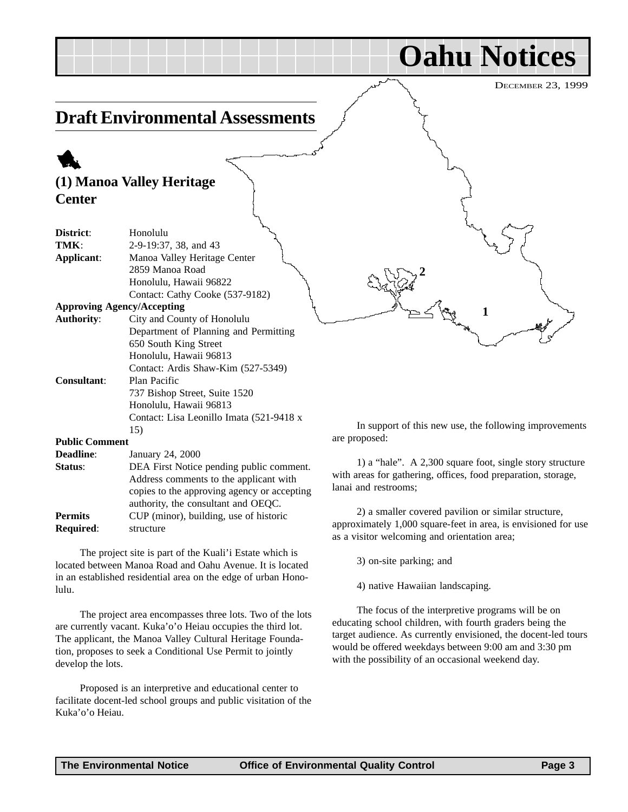<span id="page-2-0"></span>

|                       |                                                                                                                                                                          | <b>Ualiu</b> Induces                                                                                                                              |
|-----------------------|--------------------------------------------------------------------------------------------------------------------------------------------------------------------------|---------------------------------------------------------------------------------------------------------------------------------------------------|
|                       |                                                                                                                                                                          | <b>DECEMBER 23, 1999</b>                                                                                                                          |
|                       | <b>Draft Environmental Assessments</b>                                                                                                                                   |                                                                                                                                                   |
|                       |                                                                                                                                                                          |                                                                                                                                                   |
|                       | (1) Manoa Valley Heritage                                                                                                                                                |                                                                                                                                                   |
| <b>Center</b>         |                                                                                                                                                                          |                                                                                                                                                   |
| District:<br>TMK:     | Honolulu<br>2-9-19:37, 38, and 43                                                                                                                                        |                                                                                                                                                   |
| Applicant:            | Manoa Valley Heritage Center<br>2859 Manoa Road<br>Honolulu, Hawaii 96822<br>Contact: Cathy Cooke (537-9182)                                                             |                                                                                                                                                   |
|                       | <b>Approving Agency/Accepting</b>                                                                                                                                        |                                                                                                                                                   |
| <b>Authority:</b>     | City and County of Honolulu<br>Department of Planning and Permitting<br>650 South King Street<br>Honolulu, Hawaii 96813<br>Contact: Ardis Shaw-Kim (527-5349)            |                                                                                                                                                   |
| Consultant:           | Plan Pacific<br>737 Bishop Street, Suite 1520<br>Honolulu, Hawaii 96813                                                                                                  |                                                                                                                                                   |
|                       | Contact: Lisa Leonillo Imata (521-9418 x<br>15)                                                                                                                          | In support of this new use, the following improvements                                                                                            |
| <b>Public Comment</b> |                                                                                                                                                                          | are proposed:                                                                                                                                     |
| <b>Deadline:</b>      | January 24, 2000                                                                                                                                                         |                                                                                                                                                   |
| Status:               | DEA First Notice pending public comment.<br>Address comments to the applicant with<br>copies to the approving agency or accepting<br>authority, the consultant and OEOC. | 1) a "hale". A 2,300 square foot, single story structure<br>with areas for gathering, offices, food preparation, storage,<br>lanai and restrooms; |

2) a smaller covered pavilion or similar structure, approximately 1,000 square-feet in area, is envisioned for use as a visitor welcoming and orientation area;

**Oahu Notices**

3) on-site parking; and

4) native Hawaiian landscaping.

The focus of the interpretive programs will be on educating school children, with fourth graders being the target audience. As currently envisioned, the docent-led tours would be offered weekdays between 9:00 am and 3:30 pm with the possibility of an occasional weekend day.

Proposed is an interpretive and educational center to facilitate docent-led school groups and public visitation of the Kuka'o'o Heiau.

are currently vacant. Kuka'o'o Heiau occupies the third lot. The applicant, the Manoa Valley Cultural Heritage Foundation, proposes to seek a Conditional Use Permit to jointly

**Permits** CUP (minor), building, use of historic

The project site is part of the Kuali'i Estate which is located between Manoa Road and Oahu Avenue. It is located in an established residential area on the edge of urban Hono-

The project area encompasses three lots. Two of the lots

**Required**: structure

lulu.

develop the lots.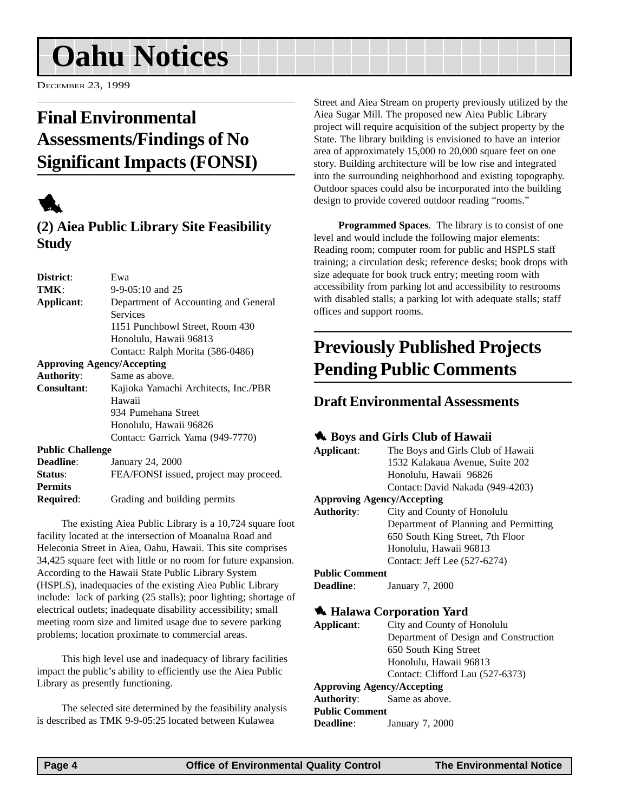## <span id="page-3-0"></span>**Oahu Notices**

DECEMBER 23, 1999

## **Final Environmental Assessments/Findings of No Significant Impacts (FONSI)**



#### **(2) Aiea Public Library Site Feasibility Study**

| District:               | Ewa                                    |
|-------------------------|----------------------------------------|
| TMK:                    | $9-9-05:10$ and 25                     |
| Applicant:              | Department of Accounting and General   |
|                         | Services                               |
|                         | 1151 Punchbowl Street, Room 430        |
|                         | Honolulu, Hawaii 96813                 |
|                         | Contact: Ralph Morita (586-0486)       |
|                         | <b>Approving Agency/Accepting</b>      |
| <b>Authority:</b>       | Same as above.                         |
| Consultant:             | Kajioka Yamachi Architects, Inc./PBR   |
|                         | Hawaii                                 |
|                         | 934 Pumehana Street                    |
|                         | Honolulu, Hawaii 96826                 |
|                         | Contact: Garrick Yama (949-7770)       |
| <b>Public Challenge</b> |                                        |
| <b>Deadline:</b>        | January 24, 2000                       |
| Status:                 | FEA/FONSI issued, project may proceed. |
| <b>Permits</b>          |                                        |
| <b>Required:</b>        | Grading and building permits           |

The existing Aiea Public Library is a 10,724 square foot facility located at the intersection of Moanalua Road and Heleconia Street in Aiea, Oahu, Hawaii. This site comprises 34,425 square feet with little or no room for future expansion. According to the Hawaii State Public Library System (HSPLS), inadequacies of the existing Aiea Public Library include: lack of parking (25 stalls); poor lighting; shortage of electrical outlets; inadequate disability accessibility; small meeting room size and limited usage due to severe parking problems; location proximate to commercial areas.

This high level use and inadequacy of library facilities impact the public's ability to efficiently use the Aiea Public Library as presently functioning.

The selected site determined by the feasibility analysis is described as TMK 9-9-05:25 located between Kulawea

Street and Aiea Stream on property previously utilized by the Aiea Sugar Mill. The proposed new Aiea Public Library project will require acquisition of the subject property by the State. The library building is envisioned to have an interior area of approximately 15,000 to 20,000 square feet on one story. Building architecture will be low rise and integrated into the surrounding neighborhood and existing topography. Outdoor spaces could also be incorporated into the building design to provide covered outdoor reading "rooms."

**Programmed Spaces**. The library is to consist of one level and would include the following major elements: Reading room; computer room for public and HSPLS staff training; a circulation desk; reference desks; book drops with size adequate for book truck entry; meeting room with accessibility from parking lot and accessibility to restrooms with disabled stalls; a parking lot with adequate stalls; staff offices and support rooms.

### **Previously Published Projects Pending Public Comments**

#### **Draft Environmental Assessments**

#### **1.** Boys and Girls Club of Hawaii

**Applicant**: The Boys and Girls Club of Hawaii 1532 Kalakaua Avenue, Suite 202 Honolulu, Hawaii 96826 Contact: David Nakada (949-4203)

#### **Approving Agency/Accepting**

**Authority**: City and County of Honolulu Department of Planning and Permitting 650 South King Street, 7th Floor Honolulu, Hawaii 96813 Contact: Jeff Lee (527-6274)

#### **Public Comment**

**Deadline**: January 7, 2000

#### 1 **Halawa Corporation Yard**

| Applicant:            | City and County of Honolulu           |
|-----------------------|---------------------------------------|
|                       | Department of Design and Construction |
|                       | 650 South King Street                 |
|                       | Honolulu, Hawaii 96813                |
|                       | Contact: Clifford Lau (527-6373)      |
|                       | <b>Approving Agency/Accepting</b>     |
|                       | <b>Authority:</b> Same as above.      |
| <b>Public Comment</b> |                                       |
| <b>Deadline:</b>      | January 7, 2000                       |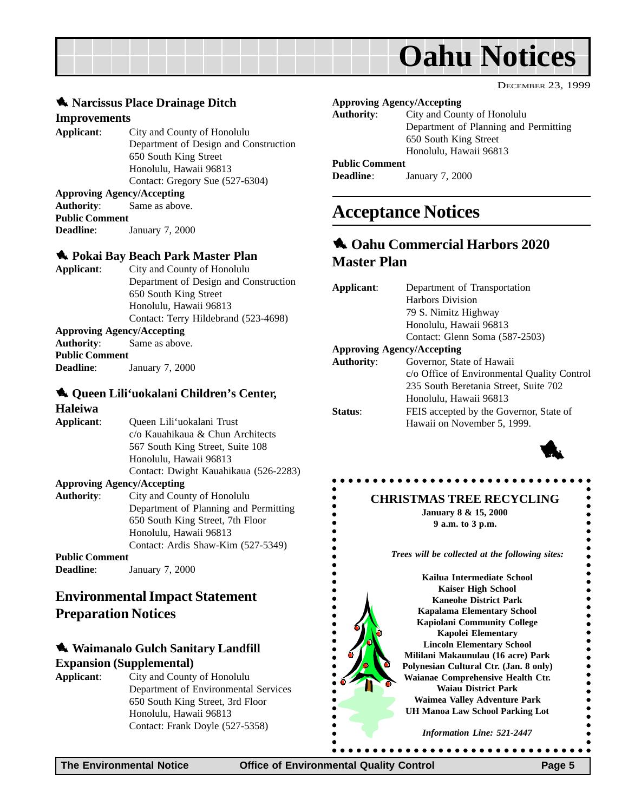<span id="page-4-0"></span>

#### **1.** Narcissus Place Drainage Ditch

#### **Improvements**

**Applicant**: City and County of Honolulu Department of Design and Construction 650 South King Street Honolulu, Hawaii 96813 Contact: Gregory Sue (527-6304) **Approving Agency/Accepting Authority**: Same as above. **Public Comment**

**Deadline**: January 7, 2000

#### 1 **Pokai Bay Beach Park Master Plan**

**Applicant**: City and County of Honolulu Department of Design and Construction 650 South King Street Honolulu, Hawaii 96813 Contact: Terry Hildebrand (523-4698) **Approving Agency/Accepting**

**Authority**: Same as above. **Public Comment Deadline**: January 7, 2000

#### 1 **Queen Lili'uokalani Children's Center,**

#### **Haleiwa**

**Applicant**: Queen Lili'uokalani Trust c/o Kauahikaua & Chun Architects 567 South King Street, Suite 108 Honolulu, Hawaii 96813 Contact: Dwight Kauahikaua (526-2283) **Approving Agency/Accepting Authority**: City and County of Honolulu Department of Planning and Permitting 650 South King Street, 7th Floor Honolulu, Hawaii 96813

Contact: Ardis Shaw-Kim (527-5349)

#### **Public Comment**

**Deadline**: January 7, 2000

#### **Environmental Impact Statement Preparation Notices**

#### **1** Waimanalo Gulch Sanitary Landfill **Expansion (Supplemental)**

**Applicant**: City and County of Honolulu Department of Environmental Services 650 South King Street, 3rd Floor Honolulu, Hawaii 96813 Contact: Frank Doyle (527-5358)

#### **Approving Agency/Accepting**

**Authority**: City and County of Honolulu Department of Planning and Permitting 650 South King Street Honolulu, Hawaii 96813

#### **Public Comment**

**Deadline**: January 7, 2000

### **Acceptance Notices**

#### 1 **Oahu Commercial Harbors 2020 Master Plan**

| Department of Transportation                |  |
|---------------------------------------------|--|
| <b>Harbors Division</b>                     |  |
| 79 S. Nimitz Highway                        |  |
| Honolulu, Hawaii 96813                      |  |
| Contact: Glenn Soma (587-2503)              |  |
| <b>Approving Agency/Accepting</b>           |  |
| Governor, State of Hawaii                   |  |
| c/o Office of Environmental Quality Control |  |
| 235 South Beretania Street, Suite 702       |  |
| Honolulu, Hawaii 96813                      |  |
| FEIS accepted by the Governor, State of     |  |
| Hawaii on November 5, 1999.                 |  |
|                                             |  |



 $\bullet$ 

 $\bullet$  $\bullet$  $\ddot{\bullet}$ 

DECEMBER 23, 1999

#### **CHRISTMAS TREE RECYCLING**

**January 8 & 15, 2000 9 a.m. to 3 p.m.**

*Trees will be collected at the following sites:*

**Kailua Intermediate School Kaiser High School Kaneohe District Park Kapalama Elementary School Kapiolani Community College Kapolei Elementary Lincoln Elementary School Mililani Makaunulau (16 acre) Park Polynesian Cultural Ctr. (Jan. 8 only) Waianae Comprehensive Health Ctr. Waiau District Park Waimea Valley Adventure Park UH Manoa Law School Parking Lot**

*Information Line: 521-2447*

. . . . . . . . . . . . . . . . . .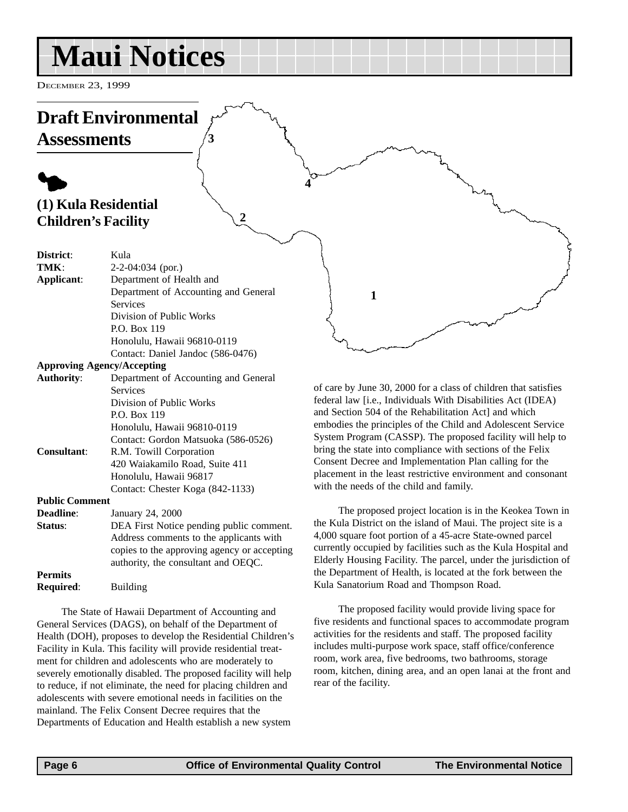## <span id="page-5-0"></span>**Maui Notices**

**3**

**2**

DECEMBER 23, 1999

### **Draft Environmental Assessments**

### $\blacklozenge$ **(1) Kula Residential Children's Facility**

| District:                         | Kula                                 |
|-----------------------------------|--------------------------------------|
| TMK:                              | $2-2-04:034$ (por.)                  |
| Applicant:                        | Department of Health and             |
|                                   | Department of Accounting and General |
|                                   | <b>Services</b>                      |
|                                   | Division of Public Works             |
|                                   | P.O. Box 119                         |
|                                   | Honolulu, Hawaii 96810-0119          |
|                                   | Contact: Daniel Jandoc (586-0476)    |
| <b>Approving Agency/Accepting</b> |                                      |
| <b>Authority:</b>                 | Department of Accounting and General |

| Authority.            | Department of Accounting and General        |
|-----------------------|---------------------------------------------|
|                       | <b>Services</b>                             |
|                       | Division of Public Works                    |
|                       | P.O. Box 119                                |
|                       | Honolulu, Hawaii 96810-0119                 |
|                       | Contact: Gordon Matsuoka (586-0526)         |
| <b>Consultant:</b>    | R.M. Towill Corporation                     |
|                       | 420 Waiakamilo Road, Suite 411              |
|                       | Honolulu, Hawaii 96817                      |
|                       | Contact: Chester Koga (842-1133)            |
| <b>Public Comment</b> |                                             |
| Deadline:             | January 24, 2000                            |
| Status:               | DEA First Notice pending public comment.    |
|                       | Address comments to the applicants with     |
|                       | copies to the approving agency or accepting |
|                       | authority, the consultant and OEOC.         |

The State of Hawaii Department of Accounting and General Services (DAGS), on behalf of the Department of Health (DOH), proposes to develop the Residential Children's Facility in Kula. This facility will provide residential treatment for children and adolescents who are moderately to severely emotionally disabled. The proposed facility will help to reduce, if not eliminate, the need for placing children and adolescents with severe emotional needs in facilities on the mainland. The Felix Consent Decree requires that the Departments of Education and Health establish a new system

of care by June 30, 2000 for a class of children that satisfies federal law [i.e., Individuals With Disabilities Act (IDEA) and Section 504 of the Rehabilitation Act] and which embodies the principles of the Child and Adolescent Service System Program (CASSP). The proposed facility will help to bring the state into compliance with sections of the Felix Consent Decree and Implementation Plan calling for the placement in the least restrictive environment and consonant with the needs of the child and family.

**1**

**4**

The proposed project location is in the Keokea Town in the Kula District on the island of Maui. The project site is a 4,000 square foot portion of a 45-acre State-owned parcel currently occupied by facilities such as the Kula Hospital and Elderly Housing Facility. The parcel, under the jurisdiction of the Department of Health, is located at the fork between the Kula Sanatorium Road and Thompson Road.

The proposed facility would provide living space for five residents and functional spaces to accommodate program activities for the residents and staff. The proposed facility includes multi-purpose work space, staff office/conference room, work area, five bedrooms, two bathrooms, storage room, kitchen, dining area, and an open lanai at the front and rear of the facility.

**Permits**

**Required**: Building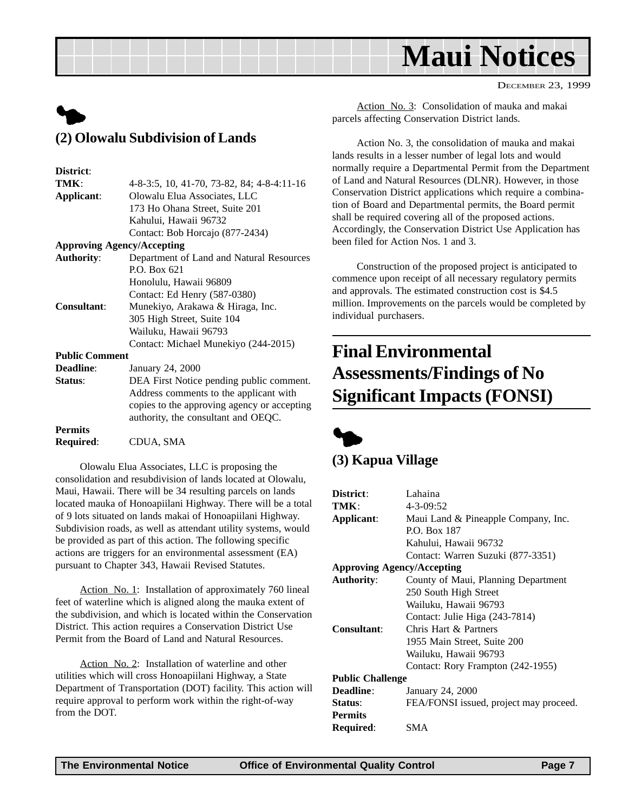## **Maui Notices**

<span id="page-6-0"></span>

#### **District**:

| TMK:                  | 4-8-3:5, 10, 41-70, 73-82, 84; 4-8-4:11-16  |
|-----------------------|---------------------------------------------|
| Applicant:            | Olowalu Elua Associates, LLC                |
|                       | 173 Ho Ohana Street, Suite 201              |
|                       | Kahului, Hawaii 96732                       |
|                       | Contact: Bob Horcajo (877-2434)             |
|                       | <b>Approving Agency/Accepting</b>           |
| <b>Authority:</b>     | Department of Land and Natural Resources    |
|                       | P.O. Box 621                                |
|                       | Honolulu, Hawaii 96809                      |
|                       | Contact: Ed Henry (587-0380)                |
| <b>Consultant:</b>    | Munekiyo, Arakawa & Hiraga, Inc.            |
|                       | 305 High Street, Suite 104                  |
|                       | Wailuku, Hawaii 96793                       |
|                       | Contact: Michael Munekiyo (244-2015)        |
| <b>Public Comment</b> |                                             |
| <b>Deadline:</b>      | January 24, 2000                            |
| Status:               | DEA First Notice pending public comment.    |
|                       | Address comments to the applicant with      |
|                       | copies to the approving agency or accepting |
|                       | authority, the consultant and OEQC.         |
| <b>Permits</b>        |                                             |
| <b>Required:</b>      | CDUA. SMA                                   |

Olowalu Elua Associates, LLC is proposing the consolidation and resubdivision of lands located at Olowalu, Maui, Hawaii. There will be 34 resulting parcels on lands located mauka of Honoapiilani Highway. There will be a total of 9 lots situated on lands makai of Honoapiilani Highway. Subdivision roads, as well as attendant utility systems, would be provided as part of this action. The following specific actions are triggers for an environmental assessment (EA) pursuant to Chapter 343, Hawaii Revised Statutes.

Action No. 1: Installation of approximately 760 lineal feet of waterline which is aligned along the mauka extent of the subdivision, and which is located within the Conservation District. This action requires a Conservation District Use Permit from the Board of Land and Natural Resources.

Action No. 2: Installation of waterline and other utilities which will cross Honoapiilani Highway, a State Department of Transportation (DOT) facility. This action will require approval to perform work within the right-of-way from the DOT.

Action No. 3: Consolidation of mauka and makai parcels affecting Conservation District lands.

Action No. 3, the consolidation of mauka and makai lands results in a lesser number of legal lots and would normally require a Departmental Permit from the Department of Land and Natural Resources (DLNR). However, in those Conservation District applications which require a combination of Board and Departmental permits, the Board permit shall be required covering all of the proposed actions. Accordingly, the Conservation District Use Application has been filed for Action Nos. 1 and 3.

Construction of the proposed project is anticipated to commence upon receipt of all necessary regulatory permits and approvals. The estimated construction cost is \$4.5 million. Improvements on the parcels would be completed by individual purchasers.

### **Final Environmental Assessments/Findings of No Significant Impacts (FONSI)**



#### **(3) Kapua Village**

| Lahaina                                |
|----------------------------------------|
| $4 - 3 - 09:52$                        |
| Maui Land & Pineapple Company, Inc.    |
| <b>P.O. Box 187</b>                    |
| Kahului, Hawaii 96732                  |
| Contact: Warren Suzuki (877-3351)      |
| <b>Approving Agency/Accepting</b>      |
| County of Maui, Planning Department    |
| 250 South High Street                  |
| Wailuku, Hawaii 96793                  |
| Contact: Julie Higa (243-7814)         |
| Chris Hart & Partners                  |
| 1955 Main Street, Suite 200            |
| Wailuku, Hawaii 96793                  |
| Contact: Rory Frampton (242-1955)      |
| <b>Public Challenge</b>                |
| January 24, 2000                       |
| FEA/FONSI issued, project may proceed. |
|                                        |
| SMA                                    |
|                                        |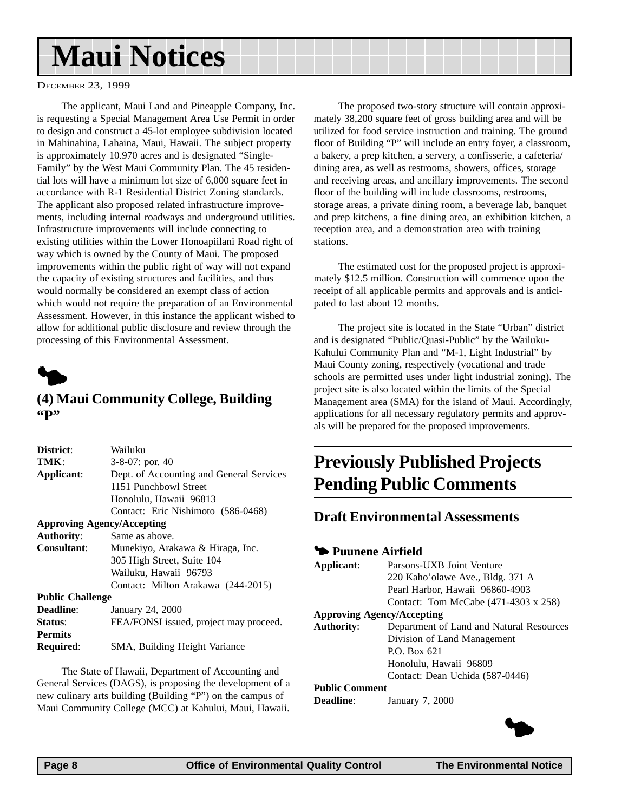## <span id="page-7-0"></span>**Maui Notices**

#### DECEMBER 23, 1999

The applicant, Maui Land and Pineapple Company, Inc. is requesting a Special Management Area Use Permit in order to design and construct a 45-lot employee subdivision located in Mahinahina, Lahaina, Maui, Hawaii. The subject property is approximately 10.970 acres and is designated "Single-Family" by the West Maui Community Plan. The 45 residential lots will have a minimum lot size of 6,000 square feet in accordance with R-1 Residential District Zoning standards. The applicant also proposed related infrastructure improvements, including internal roadways and underground utilities. Infrastructure improvements will include connecting to existing utilities within the Lower Honoapiilani Road right of way which is owned by the County of Maui. The proposed improvements within the public right of way will not expand the capacity of existing structures and facilities, and thus would normally be considered an exempt class of action which would not require the preparation of an Environmental Assessment. However, in this instance the applicant wished to allow for additional public disclosure and review through the processing of this Environmental Assessment.



#### **(4) Maui Community College, Building "P"**

| District:                         | Wailuku                                  |
|-----------------------------------|------------------------------------------|
| TMK:                              | 3-8-07: por. 40                          |
| Applicant:                        | Dept. of Accounting and General Services |
|                                   | 1151 Punchbowl Street                    |
|                                   | Honolulu, Hawaii 96813                   |
|                                   | Contact: Eric Nishimoto (586-0468)       |
| <b>Approving Agency/Accepting</b> |                                          |
| <b>Authority:</b>                 | Same as above.                           |
| <b>Consultant:</b>                | Munekiyo, Arakawa & Hiraga, Inc.         |
|                                   | 305 High Street, Suite 104               |
|                                   | Wailuku, Hawaii 96793                    |
|                                   | Contact: Milton Arakawa (244-2015)       |
| <b>Public Challenge</b>           |                                          |
| <b>Deadline:</b>                  | January 24, 2000                         |
| Status:                           | FEA/FONSI issued, project may proceed.   |
| <b>Permits</b>                    |                                          |
| <b>Required:</b>                  | SMA, Building Height Variance            |

The State of Hawaii, Department of Accounting and General Services (DAGS), is proposing the development of a new culinary arts building (Building "P") on the campus of Maui Community College (MCC) at Kahului, Maui, Hawaii.

The proposed two-story structure will contain approximately 38,200 square feet of gross building area and will be utilized for food service instruction and training. The ground floor of Building "P" will include an entry foyer, a classroom, a bakery, a prep kitchen, a servery, a confisserie, a cafeteria/ dining area, as well as restrooms, showers, offices, storage and receiving areas, and ancillary improvements. The second floor of the building will include classrooms, restrooms, storage areas, a private dining room, a beverage lab, banquet and prep kitchens, a fine dining area, an exhibition kitchen, a reception area, and a demonstration area with training stations.

The estimated cost for the proposed project is approximately \$12.5 million. Construction will commence upon the receipt of all applicable permits and approvals and is anticipated to last about 12 months.

The project site is located in the State "Urban" district and is designated "Public/Quasi-Public" by the Wailuku-Kahului Community Plan and "M-1, Light Industrial" by Maui County zoning, respectively (vocational and trade schools are permitted uses under light industrial zoning). The project site is also located within the limits of the Special Management area (SMA) for the island of Maui. Accordingly, applications for all necessary regulatory permits and approvals will be prepared for the proposed improvements.

### **Previously Published Projects Pending Public Comments**

#### **Draft Environmental Assessments**

#### 3 **Puunene Airfield**

| Contact: Tom McCabe (471-4303 x 258)     |
|------------------------------------------|
|                                          |
| Department of Land and Natural Resources |
|                                          |
|                                          |
|                                          |
|                                          |
|                                          |
|                                          |

**Deadline**: January 7, 2000

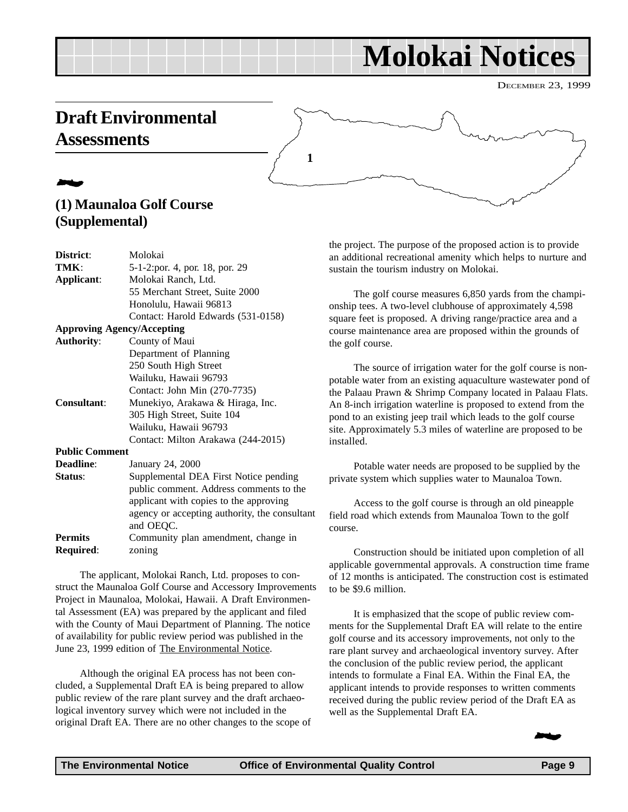## **Molokai Notices**

### <span id="page-8-0"></span>**Draft Environmental Assessments**

### 2 **(1) Maunaloa Golf Course (Supplemental)**

| District:             | Molokai                                                    |
|-----------------------|------------------------------------------------------------|
| TMK:                  | 5-1-2:por. 4, por. 18, por. 29                             |
| Applicant:            | Molokai Ranch, Ltd.                                        |
|                       | 55 Merchant Street, Suite 2000                             |
|                       | Honolulu, Hawaii 96813                                     |
|                       | Contact: Harold Edwards (531-0158)                         |
|                       | <b>Approving Agency/Accepting</b>                          |
| <b>Authority:</b>     | County of Maui                                             |
|                       | Department of Planning                                     |
|                       | 250 South High Street                                      |
|                       | Wailuku, Hawaii 96793                                      |
|                       | Contact: John Min (270-7735)                               |
| <b>Consultant:</b>    | Munekiyo, Arakawa & Hiraga, Inc.                           |
|                       | 305 High Street, Suite 104                                 |
|                       | Wailuku, Hawaii 96793                                      |
|                       | Contact: Milton Arakawa (244-2015)                         |
| <b>Public Comment</b> |                                                            |
| Deadline:             | January 24, 2000                                           |
| Status:               | Supplemental DEA First Notice pending                      |
|                       | public comment. Address comments to the                    |
|                       | applicant with copies to the approving                     |
|                       | agency or accepting authority, the consultant<br>and OEQC. |
| <b>Permits</b>        | Community plan amendment, change in                        |
| Required:             | zoning                                                     |
|                       |                                                            |

The applicant, Molokai Ranch, Ltd. proposes to construct the Maunaloa Golf Course and Accessory Improvements Project in Maunaloa, Molokai, Hawaii. A Draft Environmental Assessment (EA) was prepared by the applicant and filed with the County of Maui Department of Planning. The notice of availability for public review period was published in the June 23, 1999 edition of The Environmental Notice.

Although the original EA process has not been concluded, a Supplemental Draft EA is being prepared to allow public review of the rare plant survey and the draft archaeological inventory survey which were not included in the original Draft EA. There are no other changes to the scope of the project. The purpose of the proposed action is to provide an additional recreational amenity which helps to nurture and sustain the tourism industry on Molokai.

The golf course measures 6,850 yards from the championship tees. A two-level clubhouse of approximately 4,598 square feet is proposed. A driving range/practice area and a course maintenance area are proposed within the grounds of the golf course.

The source of irrigation water for the golf course is nonpotable water from an existing aquaculture wastewater pond of the Palaau Prawn & Shrimp Company located in Palaau Flats. An 8-inch irrigation waterline is proposed to extend from the pond to an existing jeep trail which leads to the golf course site. Approximately 5.3 miles of waterline are proposed to be installed.

Potable water needs are proposed to be supplied by the private system which supplies water to Maunaloa Town.

Access to the golf course is through an old pineapple field road which extends from Maunaloa Town to the golf course.

Construction should be initiated upon completion of all applicable governmental approvals. A construction time frame of 12 months is anticipated. The construction cost is estimated to be \$9.6 million.

It is emphasized that the scope of public review comments for the Supplemental Draft EA will relate to the entire golf course and its accessory improvements, not only to the rare plant survey and archaeological inventory survey. After the conclusion of the public review period, the applicant intends to formulate a Final EA. Within the Final EA, the applicant intends to provide responses to written comments received during the public review period of the Draft EA as well as the Supplemental Draft EA.



**1**

DECEMBER 23, 1999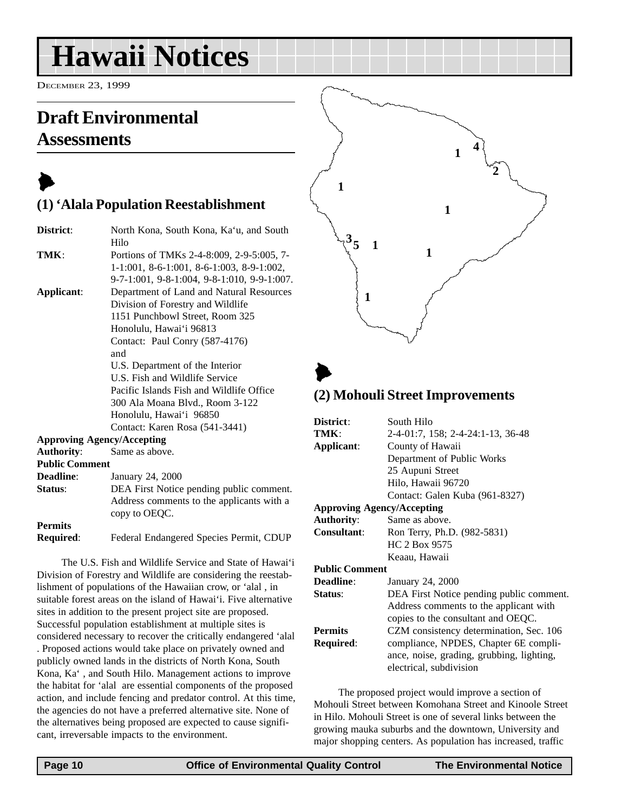## <span id="page-9-0"></span>**Hawaii Notices**

**(1) 'Alala Population Reestablishment**

DECEMBER 23, 1999

### **Draft Environmental Assessments**

## $\blacktriangleright$

| District:                         | North Kona, South Kona, Ka'u, and South     |
|-----------------------------------|---------------------------------------------|
|                                   | Hilo                                        |
| TMK:                              | Portions of TMKs 2-4-8:009, 2-9-5:005, 7-   |
|                                   | 1-1:001, 8-6-1:001, 8-6-1:003, 8-9-1:002,   |
|                                   | 9-7-1:001, 9-8-1:004, 9-8-1:010, 9-9-1:007. |
| Applicant:                        | Department of Land and Natural Resources    |
|                                   | Division of Forestry and Wildlife           |
|                                   | 1151 Punchbowl Street, Room 325             |
|                                   | Honolulu, Hawai'i 96813                     |
|                                   | Contact: Paul Conry (587-4176)              |
|                                   | and                                         |
|                                   | U.S. Department of the Interior             |
|                                   | U.S. Fish and Wildlife Service              |
|                                   | Pacific Islands Fish and Wildlife Office    |
|                                   | 300 Ala Moana Blvd., Room 3-122             |
|                                   | Honolulu, Hawai'i 96850                     |
|                                   | Contact: Karen Rosa (541-3441)              |
| <b>Approving Agency/Accepting</b> |                                             |
| <b>Authority:</b>                 | Same as above.                              |
| <b>Public Comment</b>             |                                             |
| <b>Deadline:</b>                  | January 24, 2000                            |
| Status:                           | DEA First Notice pending public comment.    |
|                                   | Address comments to the applicants with a   |
|                                   | copy to OEQC.                               |
| <b>Permits</b>                    |                                             |
| Required:                         | Federal Endangered Species Permit, CDUP     |

The U.S. Fish and Wildlife Service and State of Hawai'i Division of Forestry and Wildlife are considering the reestablishment of populations of the Hawaiian crow, or 'alal , in suitable forest areas on the island of Hawai'i. Five alternative sites in addition to the present project site are proposed. Successful population establishment at multiple sites is considered necessary to recover the critically endangered 'alal . Proposed actions would take place on privately owned and publicly owned lands in the districts of North Kona, South Kona, Ka' , and South Hilo. Management actions to improve the habitat for 'alal are essential components of the proposed action, and include fencing and predator control. At this time, the agencies do not have a preferred alternative site. None of the alternatives being proposed are expected to cause significant, irreversable impacts to the environment.



#### **(2) Mohouli Street Improvements**

| District:                         | South Hilo                                |  |
|-----------------------------------|-------------------------------------------|--|
| TMK:                              | 2-4-01:7, 158; 2-4-24:1-13, 36-48         |  |
| Applicant:                        | County of Hawaii                          |  |
|                                   | Department of Public Works                |  |
|                                   | 25 Aupuni Street                          |  |
|                                   | Hilo, Hawaii 96720                        |  |
|                                   | Contact: Galen Kuba (961-8327)            |  |
| <b>Approving Agency/Accepting</b> |                                           |  |
| <b>Authority:</b>                 | Same as above.                            |  |
| <b>Consultant:</b>                | Ron Terry, Ph.D. (982-5831)               |  |
|                                   | HC 2 Box 9575                             |  |
|                                   | Keaau, Hawaii                             |  |
| <b>Public Comment</b>             |                                           |  |
| Deadline:                         | January 24, 2000                          |  |
| Status:                           | DEA First Notice pending public comment.  |  |
|                                   | Address comments to the applicant with    |  |
|                                   | copies to the consultant and OEQC.        |  |
| <b>Permits</b>                    | CZM consistency determination, Sec. 106   |  |
| Required:                         | compliance, NPDES, Chapter 6E compli-     |  |
|                                   | ance, noise, grading, grubbing, lighting, |  |
|                                   | electrical, subdivision                   |  |
|                                   |                                           |  |

The proposed project would improve a section of Mohouli Street between Komohana Street and Kinoole Street in Hilo. Mohouli Street is one of several links between the growing mauka suburbs and the downtown, University and major shopping centers. As population has increased, traffic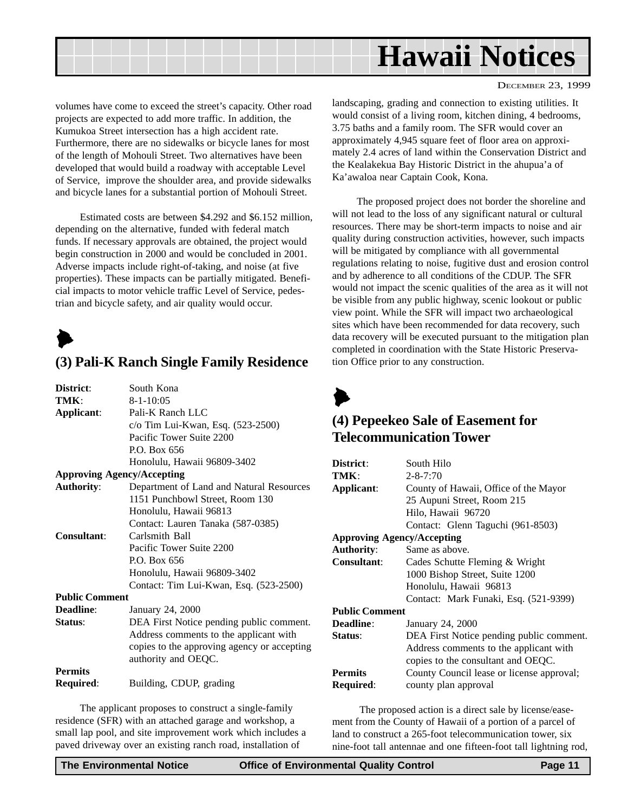<span id="page-10-0"></span>

volumes have come to exceed the street's capacity. Other road projects are expected to add more traffic. In addition, the Kumukoa Street intersection has a high accident rate. Furthermore, there are no sidewalks or bicycle lanes for most of the length of Mohouli Street. Two alternatives have been developed that would build a roadway with acceptable Level of Service, improve the shoulder area, and provide sidewalks and bicycle lanes for a substantial portion of Mohouli Street.

Estimated costs are between \$4.292 and \$6.152 million, depending on the alternative, funded with federal match funds. If necessary approvals are obtained, the project would begin construction in 2000 and would be concluded in 2001. Adverse impacts include right-of-taking, and noise (at five properties). These impacts can be partially mitigated. Beneficial impacts to motor vehicle traffic Level of Service, pedestrian and bicycle safety, and air quality would occur.

 $\blacktriangleright$ 

#### **(3) Pali-K Ranch Single Family Residence**

| District:                         | South Kona                                  |
|-----------------------------------|---------------------------------------------|
| TMK:                              | $8 - 1 - 10:05$                             |
| Applicant:                        | Pali-K Ranch LLC                            |
|                                   | c/o Tim Lui-Kwan, Esq. (523-2500)           |
|                                   | Pacific Tower Suite 2200                    |
|                                   | P.O. Box 656                                |
|                                   | Honolulu, Hawaii 96809-3402                 |
| <b>Approving Agency/Accepting</b> |                                             |
| <b>Authority:</b>                 | Department of Land and Natural Resources    |
|                                   | 1151 Punchbowl Street, Room 130             |
|                                   | Honolulu, Hawaii 96813                      |
|                                   | Contact: Lauren Tanaka (587-0385)           |
| Consultant:                       | Carlsmith Ball                              |
|                                   | Pacific Tower Suite 2200                    |
|                                   | P.O. Box 656                                |
|                                   | Honolulu, Hawaii 96809-3402                 |
|                                   | Contact: Tim Lui-Kwan, Esq. (523-2500)      |
| <b>Public Comment</b>             |                                             |
| Deadline:                         | January 24, 2000                            |
| Status:                           | DEA First Notice pending public comment.    |
|                                   | Address comments to the applicant with      |
|                                   | copies to the approving agency or accepting |
|                                   | authority and OEQC.                         |
| <b>Permits</b>                    |                                             |
| Required:                         | Building, CDUP, grading                     |

The applicant proposes to construct a single-family residence (SFR) with an attached garage and workshop, a small lap pool, and site improvement work which includes a paved driveway over an existing ranch road, installation of

landscaping, grading and connection to existing utilities. It would consist of a living room, kitchen dining, 4 bedrooms, 3.75 baths and a family room. The SFR would cover an approximately 4,945 square feet of floor area on approximately 2.4 acres of land within the Conservation District and the Kealakekua Bay Historic District in the ahupua'a of Ka'awaloa near Captain Cook, Kona.

The proposed project does not border the shoreline and will not lead to the loss of any significant natural or cultural resources. There may be short-term impacts to noise and air quality during construction activities, however, such impacts will be mitigated by compliance with all governmental regulations relating to noise, fugitive dust and erosion control and by adherence to all conditions of the CDUP. The SFR would not impact the scenic qualities of the area as it will not be visible from any public highway, scenic lookout or public view point. While the SFR will impact two archaeological sites which have been recommended for data recovery, such data recovery will be executed pursuant to the mitigation plan completed in coordination with the State Historic Preservation Office prior to any construction.



#### **(4) Pepeekeo Sale of Easement for Telecommunication Tower**

| District:                         | South Hilo                                |  |
|-----------------------------------|-------------------------------------------|--|
| TMK:                              | $2 - 8 - 7:70$                            |  |
| Applicant:                        | County of Hawaii, Office of the Mayor     |  |
|                                   | 25 Aupuni Street, Room 215                |  |
|                                   | Hilo, Hawaii 96720                        |  |
|                                   | Contact: Glenn Taguchi (961-8503)         |  |
| <b>Approving Agency/Accepting</b> |                                           |  |
| <b>Authority:</b>                 | Same as above.                            |  |
| <b>Consultant:</b>                | Cades Schutte Fleming & Wright            |  |
|                                   | 1000 Bishop Street, Suite 1200            |  |
|                                   | Honolulu, Hawaii 96813                    |  |
|                                   | Contact: Mark Funaki, Esq. (521-9399)     |  |
| <b>Public Comment</b>             |                                           |  |
| <b>Deadline:</b>                  | January 24, 2000                          |  |
| Status:                           | DEA First Notice pending public comment.  |  |
|                                   | Address comments to the applicant with    |  |
|                                   | copies to the consultant and OEQC.        |  |
| <b>Permits</b>                    | County Council lease or license approval; |  |
| Required:                         | county plan approval                      |  |

 The proposed action is a direct sale by license/easement from the County of Hawaii of a portion of a parcel of land to construct a 265-foot telecommunication tower, six nine-foot tall antennae and one fifteen-foot tall lightning rod,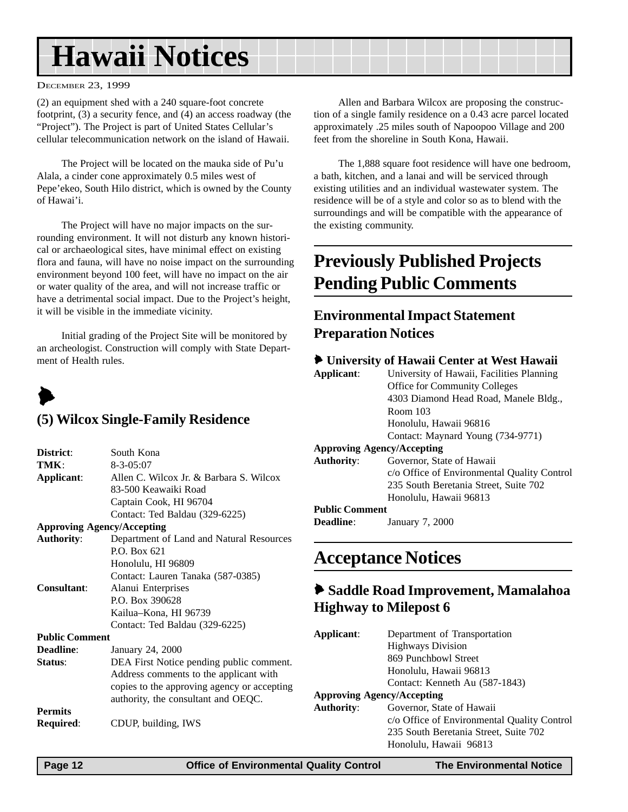## <span id="page-11-0"></span>**Hawaii Notices**

#### DECEMBER 23, 1999

(2) an equipment shed with a 240 square-foot concrete footprint, (3) a security fence, and (4) an access roadway (the "Project"). The Project is part of United States Cellular's cellular telecommunication network on the island of Hawaii.

The Project will be located on the mauka side of Pu'u Alala, a cinder cone approximately 0.5 miles west of Pepe'ekeo, South Hilo district, which is owned by the County of Hawai'i.

The Project will have no major impacts on the surrounding environment. It will not disturb any known historical or archaeological sites, have minimal effect on existing flora and fauna, will have no noise impact on the surrounding environment beyond 100 feet, will have no impact on the air or water quality of the area, and will not increase traffic or have a detrimental social impact. Due to the Project's height, it will be visible in the immediate vicinity.

Initial grading of the Project Site will be monitored by an archeologist. Construction will comply with State Department of Health rules.

## $\blacktriangleright$

#### **(5) Wilcox Single-Family Residence**

| District:                         | South Kona                                  |  |
|-----------------------------------|---------------------------------------------|--|
| TMK :                             | $8 - 3 - 05:07$                             |  |
| Applicant:                        | Allen C. Wilcox Jr. & Barbara S. Wilcox     |  |
|                                   | 83-500 Keawaiki Road                        |  |
|                                   |                                             |  |
|                                   | Captain Cook, HI 96704                      |  |
|                                   | Contact: Ted Baldau (329-6225)              |  |
| <b>Approving Agency/Accepting</b> |                                             |  |
| <b>Authority:</b>                 | Department of Land and Natural Resources    |  |
|                                   | $PO$ Box 621                                |  |
|                                   | Honolulu, HI 96809                          |  |
|                                   | Contact: Lauren Tanaka (587-0385)           |  |
| <b>Consultant:</b>                | Alanui Enterprises                          |  |
|                                   | P.O. Box 390628                             |  |
|                                   | Kailua–Kona, HI 96739                       |  |
|                                   | Contact: Ted Baldau (329-6225)              |  |
| <b>Public Comment</b>             |                                             |  |
| Deadline:                         | January 24, 2000                            |  |
| Status:                           | DEA First Notice pending public comment.    |  |
|                                   | Address comments to the applicant with      |  |
|                                   | copies to the approving agency or accepting |  |
|                                   | authority, the consultant and OEQC.         |  |
| <b>Permits</b>                    |                                             |  |
|                                   |                                             |  |
| <b>Required:</b>                  | CDUP, building, IWS                         |  |

Allen and Barbara Wilcox are proposing the construction of a single family residence on a 0.43 acre parcel located approximately .25 miles south of Napoopoo Village and 200 feet from the shoreline in South Kona, Hawaii.

The 1,888 square foot residence will have one bedroom, a bath, kitchen, and a lanai and will be serviced through existing utilities and an individual wastewater system. The residence will be of a style and color so as to blend with the surroundings and will be compatible with the appearance of the existing community.

### **Previously Published Projects Pending Public Comments**

#### **Environmental Impact Statement Preparation Notices**

#### 6 **University of Hawaii Center at West Hawaii**

|                       | lace conversity of mawall center at west mawall |
|-----------------------|-------------------------------------------------|
| Applicant:            | University of Hawaii, Facilities Planning       |
|                       | <b>Office for Community Colleges</b>            |
|                       | 4303 Diamond Head Road, Manele Bldg.,           |
|                       | Room 103                                        |
|                       | Honolulu, Hawaii 96816                          |
|                       | Contact: Maynard Young (734-9771)               |
|                       | <b>Approving Agency/Accepting</b>               |
| <b>Authority:</b>     | Governor, State of Hawaii                       |
|                       | c/o Office of Environmental Quality Control     |
|                       | 235 South Beretania Street, Suite 702           |
|                       | Honolulu, Hawaii 96813                          |
| <b>Public Comment</b> |                                                 |
|                       |                                                 |

**Deadline**: January 7, 2000

### **Acceptance Notices**

#### 6 **Saddle Road Improvement, Mamalahoa Highway to Milepost 6**

| Applicant:                        | Department of Transportation                |  |
|-----------------------------------|---------------------------------------------|--|
|                                   | <b>Highways Division</b>                    |  |
|                                   | 869 Punchbowl Street                        |  |
|                                   | Honolulu, Hawaii 96813                      |  |
|                                   | Contact: Kenneth Au (587-1843)              |  |
| <b>Approving Agency/Accepting</b> |                                             |  |
| <b>Authority:</b>                 | Governor, State of Hawaii                   |  |
|                                   | c/o Office of Environmental Quality Control |  |
|                                   | 235 South Beretania Street, Suite 702       |  |
|                                   | Honolulu, Hawaii 96813                      |  |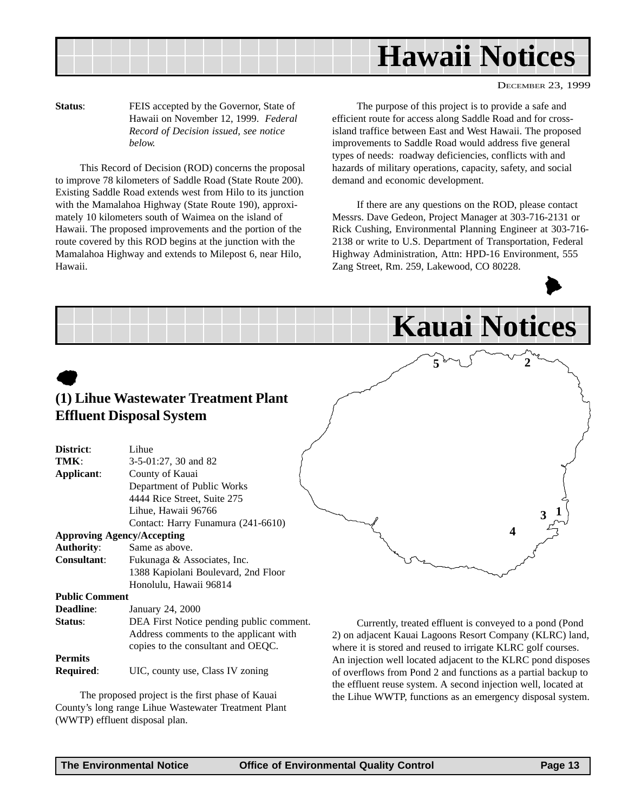

**Status**: FEIS accepted by the Governor, State of Hawaii on November 12, 1999. *Federal Record of Decision issued, see notice below.*

This Record of Decision (ROD) concerns the proposal to improve 78 kilometers of Saddle Road (State Route 200). Existing Saddle Road extends west from Hilo to its junction with the Mamalahoa Highway (State Route 190), approximately 10 kilometers south of Waimea on the island of Hawaii. The proposed improvements and the portion of the route covered by this ROD begins at the junction with the Mamalahoa Highway and extends to Milepost 6, near Hilo, Hawaii.

The purpose of this project is to provide a safe and efficient route for access along Saddle Road and for crossisland traffice between East and West Hawaii. The proposed improvements to Saddle Road would address five general types of needs: roadway deficiencies, conflicts with and hazards of military operations, capacity, safety, and social demand and economic development.

If there are any questions on the ROD, please contact Messrs. Dave Gedeon, Project Manager at 303-716-2131 or Rick Cushing, Environmental Planning Engineer at 303-716- 2138 or write to U.S. Department of Transportation, Federal Highway Administration, Attn: HPD-16 Environment, 555 Zang Street, Rm. 259, Lakewood, CO 80228.



|                                 |                                                                                                                          | <b>Kauai Notices</b>                                                                                                                                                                |
|---------------------------------|--------------------------------------------------------------------------------------------------------------------------|-------------------------------------------------------------------------------------------------------------------------------------------------------------------------------------|
|                                 |                                                                                                                          |                                                                                                                                                                                     |
|                                 | (1) Lihue Wastewater Treatment Plant                                                                                     |                                                                                                                                                                                     |
|                                 | <b>Effluent Disposal System</b>                                                                                          |                                                                                                                                                                                     |
| District:<br>TMK:<br>Applicant: | Lihue<br>3-5-01:27, 30 and 82<br>County of Kauai<br>Department of Public Works                                           |                                                                                                                                                                                     |
|                                 | 4444 Rice Street, Suite 275<br>Lihue, Hawaii 96766<br>Contact: Harry Funamura (241-6610)                                 |                                                                                                                                                                                     |
|                                 | <b>Approving Agency/Accepting</b>                                                                                        | 4                                                                                                                                                                                   |
| <b>Authority:</b>               | Same as above.                                                                                                           |                                                                                                                                                                                     |
| <b>Consultant:</b>              | Fukunaga & Associates, Inc.<br>1388 Kapiolani Boulevard, 2nd Floor<br>Honolulu, Hawaii 96814                             |                                                                                                                                                                                     |
| <b>Public Comment</b>           |                                                                                                                          |                                                                                                                                                                                     |
| Deadline:                       | January 24, 2000                                                                                                         |                                                                                                                                                                                     |
| Status:                         | DEA First Notice pending public comment.<br>Address comments to the applicant with<br>copies to the consultant and OEQC. | Currently, treated effluent is conveyed to a pond (Pond<br>2) on adjacent Kauai Lagoons Resort Company (KLRC) land,<br>where it is stored and reused to irrigate KLRC golf courses. |
| <b>Permits</b>                  |                                                                                                                          | An injection well located adjacent to the KLRC pond disposes                                                                                                                        |

**Required**: UIC, county use, Class IV zoning

The proposed project is the first phase of Kauai County's long range Lihue Wastewater Treatment Plant (WWTP) effluent disposal plan.

An injection well located adjacent to the KLRC pond disposes of overflows from Pond 2 and functions as a partial backup to the effluent reuse system. A second injection well, located at the Lihue WWTP, functions as an emergency disposal system.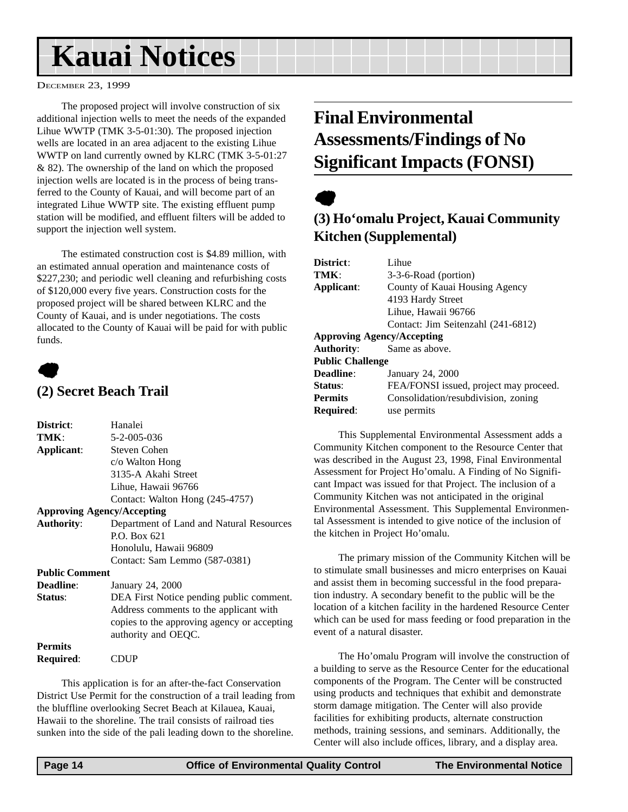## <span id="page-13-0"></span>**Kauai Notices**

#### DECEMBER 23, 1999

The proposed project will involve construction of six additional injection wells to meet the needs of the expanded Lihue WWTP (TMK 3-5-01:30). The proposed injection wells are located in an area adjacent to the existing Lihue WWTP on land currently owned by KLRC (TMK 3-5-01:27 & 82). The ownership of the land on which the proposed injection wells are located is in the process of being transferred to the County of Kauai, and will become part of an integrated Lihue WWTP site. The existing effluent pump station will be modified, and effluent filters will be added to support the injection well system.

The estimated construction cost is \$4.89 million, with an estimated annual operation and maintenance costs of \$227,230; and periodic well cleaning and refurbishing costs of \$120,000 every five years. Construction costs for the proposed project will be shared between KLRC and the County of Kauai, and is under negotiations. The costs allocated to the County of Kauai will be paid for with public funds.

### $\bullet$ **(2) Secret Beach Trail**

| District:             | Hanalei                                     |
|-----------------------|---------------------------------------------|
| TMK:                  | 5-2-005-036                                 |
| Applicant:            | Steven Cohen                                |
|                       | c/o Walton Hong                             |
|                       | 3135-A Akahi Street                         |
|                       | Lihue, Hawaii 96766                         |
|                       | Contact: Walton Hong (245-4757)             |
|                       | <b>Approving Agency/Accepting</b>           |
| <b>Authority:</b>     | Department of Land and Natural Resources    |
|                       | P.O. Box 621                                |
|                       | Honolulu, Hawaii 96809                      |
|                       | Contact: Sam Lemmo (587-0381)               |
| <b>Public Comment</b> |                                             |
| <b>Deadline:</b>      | January 24, 2000                            |
| Status:               | DEA First Notice pending public comment.    |
|                       | Address comments to the applicant with      |
|                       | copies to the approving agency or accepting |
|                       | authority and OEQC.                         |
| <b>Permits</b>        |                                             |
| Required:             | <b>CDUP</b>                                 |

This application is for an after-the-fact Conservation District Use Permit for the construction of a trail leading from the bluffline overlooking Secret Beach at Kilauea, Kauai, Hawaii to the shoreline. The trail consists of railroad ties sunken into the side of the pali leading down to the shoreline.

## **Final Environmental Assessments/Findings of No Significant Impacts (FONSI)**

## $\bullet$

#### **(3) Ho'omalu Project, Kauai Community Kitchen (Supplemental)**

| District:                         | Lihue                                  |  |
|-----------------------------------|----------------------------------------|--|
| TMK:                              | 3-3-6-Road (portion)                   |  |
| Applicant:                        | County of Kauai Housing Agency         |  |
|                                   | 4193 Hardy Street                      |  |
|                                   | Lihue, Hawaii 96766                    |  |
|                                   | Contact: Jim Seitenzahl (241-6812)     |  |
| <b>Approving Agency/Accepting</b> |                                        |  |
| <b>Authority:</b>                 | Same as above.                         |  |
| <b>Public Challenge</b>           |                                        |  |
| Deadline:                         | January 24, 2000                       |  |
| Status:                           | FEA/FONSI issued, project may proceed. |  |
| <b>Permits</b>                    | Consolidation/resubdivision, zoning    |  |
| <b>Required:</b>                  | use permits                            |  |

This Supplemental Environmental Assessment adds a Community Kitchen component to the Resource Center that was described in the August 23, 1998, Final Environmental Assessment for Project Ho'omalu. A Finding of No Significant Impact was issued for that Project. The inclusion of a Community Kitchen was not anticipated in the original Environmental Assessment. This Supplemental Environmental Assessment is intended to give notice of the inclusion of the kitchen in Project Ho'omalu.

The primary mission of the Community Kitchen will be to stimulate small businesses and micro enterprises on Kauai and assist them in becoming successful in the food preparation industry. A secondary benefit to the public will be the location of a kitchen facility in the hardened Resource Center which can be used for mass feeding or food preparation in the event of a natural disaster.

The Ho'omalu Program will involve the construction of a building to serve as the Resource Center for the educational components of the Program. The Center will be constructed using products and techniques that exhibit and demonstrate storm damage mitigation. The Center will also provide facilities for exhibiting products, alternate construction methods, training sessions, and seminars. Additionally, the Center will also include offices, library, and a display area.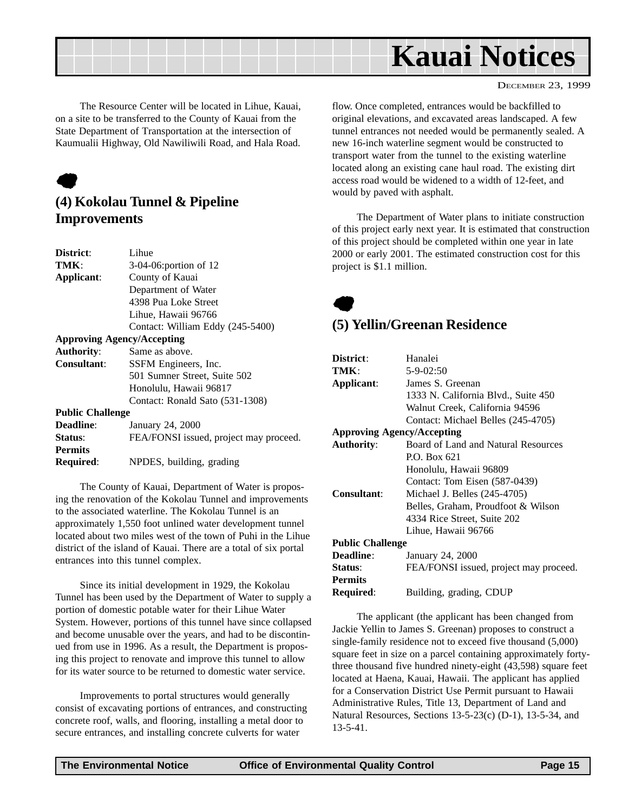<span id="page-14-0"></span>

The Resource Center will be located in Lihue, Kauai, on a site to be transferred to the County of Kauai from the State Department of Transportation at the intersection of Kaumualii Highway, Old Nawiliwili Road, and Hala Road.

## $\bullet$

#### **(4) Kokolau Tunnel & Pipeline Improvements**

| <b>District:</b>        | Lihue.                                 |
|-------------------------|----------------------------------------|
| TMK:                    | 3-04-06:portion of 12                  |
| Applicant:              | County of Kauai                        |
|                         | Department of Water                    |
|                         | 4398 Pua Loke Street                   |
|                         | Lihue, Hawaii 96766                    |
|                         | Contact: William Eddy (245-5400)       |
|                         | <b>Approving Agency/Accepting</b>      |
| <b>Authority:</b>       | Same as above.                         |
| Consultant:             | SSFM Engineers, Inc.                   |
|                         | 501 Sumner Street, Suite 502           |
|                         | Honolulu, Hawaii 96817                 |
|                         | Contact: Ronald Sato (531-1308)        |
| <b>Public Challenge</b> |                                        |
| <b>Deadline:</b>        | January 24, 2000                       |
| Status:                 | FEA/FONSI issued, project may proceed. |
| <b>Permits</b>          |                                        |
| Required:               | NPDES, building, grading               |

The County of Kauai, Department of Water is proposing the renovation of the Kokolau Tunnel and improvements to the associated waterline. The Kokolau Tunnel is an approximately 1,550 foot unlined water development tunnel located about two miles west of the town of Puhi in the Lihue district of the island of Kauai. There are a total of six portal entrances into this tunnel complex.

Since its initial development in 1929, the Kokolau Tunnel has been used by the Department of Water to supply a portion of domestic potable water for their Lihue Water System. However, portions of this tunnel have since collapsed and become unusable over the years, and had to be discontinued from use in 1996. As a result, the Department is proposing this project to renovate and improve this tunnel to allow for its water source to be returned to domestic water service.

Improvements to portal structures would generally consist of excavating portions of entrances, and constructing concrete roof, walls, and flooring, installing a metal door to secure entrances, and installing concrete culverts for water

flow. Once completed, entrances would be backfilled to original elevations, and excavated areas landscaped. A few tunnel entrances not needed would be permanently sealed. A new 16-inch waterline segment would be constructed to transport water from the tunnel to the existing waterline located along an existing cane haul road. The existing dirt access road would be widened to a width of 12-feet, and would by paved with asphalt.

The Department of Water plans to initiate construction of this project early next year. It is estimated that construction of this project should be completed within one year in late 2000 or early 2001. The estimated construction cost for this project is \$1.1 million.

## $\bullet$

#### **(5) Yellin/Greenan Residence**

| District:                         | Hanalei                                |  |
|-----------------------------------|----------------------------------------|--|
| TMK:                              | $5 - 9 - 02:50$                        |  |
| Applicant:                        | James S. Greenan                       |  |
|                                   | 1333 N. California Blvd., Suite 450    |  |
|                                   | Walnut Creek, California 94596         |  |
|                                   | Contact: Michael Belles (245-4705)     |  |
| <b>Approving Agency/Accepting</b> |                                        |  |
| <b>Authority:</b>                 | Board of Land and Natural Resources    |  |
|                                   | P.O. Box 621                           |  |
|                                   | Honolulu, Hawaii 96809                 |  |
|                                   | Contact: Tom Eisen (587-0439)          |  |
| <b>Consultant:</b>                | Michael J. Belles (245-4705)           |  |
|                                   | Belles, Graham, Proudfoot & Wilson     |  |
|                                   | 4334 Rice Street, Suite 202            |  |
|                                   | Lihue, Hawaii 96766                    |  |
| <b>Public Challenge</b>           |                                        |  |
| <b>Deadline:</b>                  | January 24, 2000                       |  |
| Status:                           | FEA/FONSI issued, project may proceed. |  |
| <b>Permits</b>                    |                                        |  |
| Required:                         | Building, grading, CDUP                |  |

The applicant (the applicant has been changed from Jackie Yellin to James S. Greenan) proposes to construct a single-family residence not to exceed five thousand (5,000) square feet in size on a parcel containing approximately fortythree thousand five hundred ninety-eight (43,598) square feet located at Haena, Kauai, Hawaii. The applicant has applied for a Conservation District Use Permit pursuant to Hawaii Administrative Rules, Title 13, Department of Land and Natural Resources, Sections 13-5-23(c) (D-1), 13-5-34, and 13-5-41.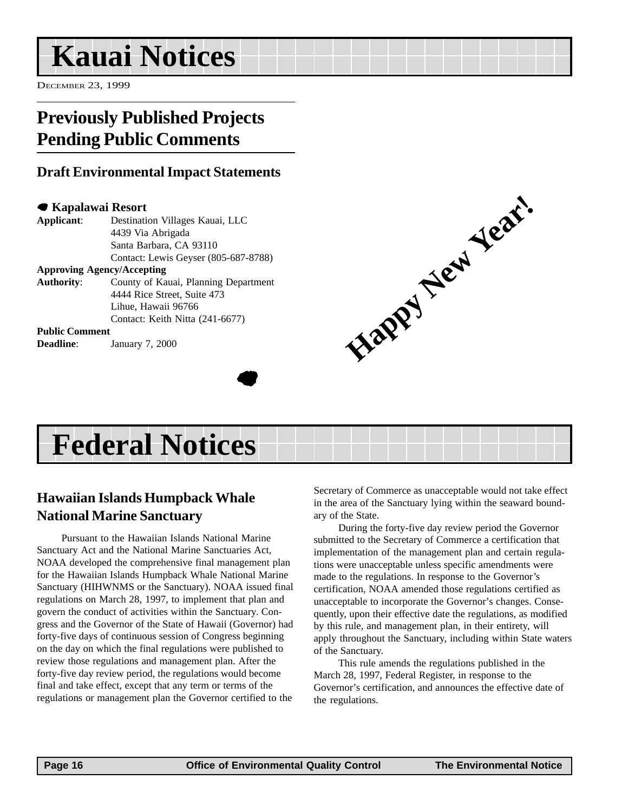## <span id="page-15-0"></span>**Kauai Notices**

DECEMBER 23, 1999

### **Previously Published Projects Pending Public Comments**

#### **Draft Environmental Impact Statements**

#### 7 **Kapalawai Resort**

**Applicant**: Destination Villages Kauai, LLC 4439 Via Abrigada Santa Barbara, CA 93110 Contact: Lewis Geyser (805-687-8788) **Approving Agency/Accepting**

**Authority**: County of Kauai, Planning Department 4444 Rice Street, Suite 473 Lihue, Hawaii 96766 Contact: Keith Nitta (241-6677)

**Public Comment**

**Deadline**: January 7, 2000







#### **Hawaiian Islands Humpback Whale National Marine Sanctuary**

Pursuant to the Hawaiian Islands National Marine Sanctuary Act and the National Marine Sanctuaries Act, NOAA developed the comprehensive final management plan for the Hawaiian Islands Humpback Whale National Marine Sanctuary (HIHWNMS or the Sanctuary). NOAA issued final regulations on March 28, 1997, to implement that plan and govern the conduct of activities within the Sanctuary. Congress and the Governor of the State of Hawaii (Governor) had forty-five days of continuous session of Congress beginning on the day on which the final regulations were published to review those regulations and management plan. After the forty-five day review period, the regulations would become final and take effect, except that any term or terms of the regulations or management plan the Governor certified to the

Secretary of Commerce as unacceptable would not take effect in the area of the Sanctuary lying within the seaward boundary of the State.

During the forty-five day review period the Governor submitted to the Secretary of Commerce a certification that implementation of the management plan and certain regulations were unacceptable unless specific amendments were made to the regulations. In response to the Governor's certification, NOAA amended those regulations certified as unacceptable to incorporate the Governor's changes. Consequently, upon their effective date the regulations, as modified by this rule, and management plan, in their entirety, will apply throughout the Sanctuary, including within State waters of the Sanctuary.

This rule amends the regulations published in the March 28, 1997, Federal Register, in response to the Governor's certification, and announces the effective date of the regulations.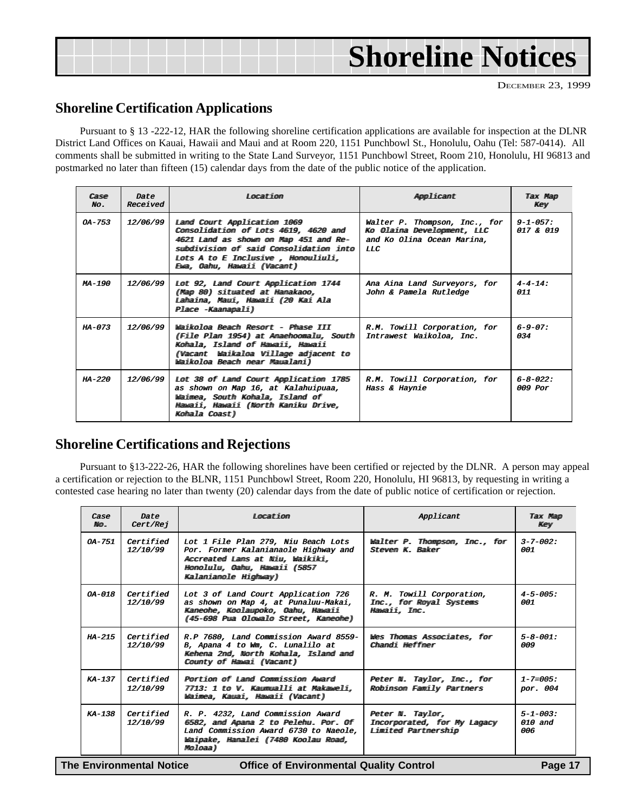| <b>Shoreline Notices</b> |
|--------------------------|
|--------------------------|

#### **Shoreline Certification Applications**

Pursuant to § 13 -222-12, HAR the following shoreline certification applications are available for inspection at the DLNR District Land Offices on Kauai, Hawaii and Maui and at Room 220, 1151 Punchbowl St., Honolulu, Oahu (Tel: 587-0414). All comments shall be submitted in writing to the State Land Surveyor, 1151 Punchbowl Street, Room 210, Honolulu, HI 96813 and postmarked no later than fifteen (15) calendar days from the date of the public notice of the application.

| $C = \mathbb{R}$<br>No. | Date<br>Received | Tuorat iom                                                                                                                                                                                                                                                                                                                                                                                                                                                                                                                                                                                                                                                                                                                                                                                                        | Applicamt                                                                                               | <b>Tax Map</b><br>Key         |
|-------------------------|------------------|-------------------------------------------------------------------------------------------------------------------------------------------------------------------------------------------------------------------------------------------------------------------------------------------------------------------------------------------------------------------------------------------------------------------------------------------------------------------------------------------------------------------------------------------------------------------------------------------------------------------------------------------------------------------------------------------------------------------------------------------------------------------------------------------------------------------|---------------------------------------------------------------------------------------------------------|-------------------------------|
| $OA - 753$              | 12/06/99         | Land Court Application 1069<br>Comsolidatiom of Lots 4619, 4620 and<br>4621 Land as shown on Map 451 and Re-<br>subdivisiom of said Consolidation into<br>Lots A to E Imclusive , Homouliuli,<br>Ewa, Oahu, Hawaii (Vacant)                                                                                                                                                                                                                                                                                                                                                                                                                                                                                                                                                                                       | Walter P. Thompson, Inc., for<br>Ko Olaima Development, LLC<br>and Ko Olina Ocean Marina.<br><b>LLC</b> | $9 - 1 - 0.57$ :<br>017 & 019 |
| $MA - 190$              | 12/06/99         | Lot 92, Land Court Application 1744<br>(Map 80) situated at Hanakaoo,<br><u>Lahaima, Maui, Hawaii (20 Kai Ala</u><br>Place -Kaanapali)                                                                                                                                                                                                                                                                                                                                                                                                                                                                                                                                                                                                                                                                            | Ana Aina Land Surveyors, for<br>John & Pamela Rutledge                                                  | $4 - 4 - 14$ :<br>011         |
| $HA - 073$              | 12/06/99         | $W\rightarrow \ddot{W}\rightarrow \ddot{W}\rightarrow \ddot{W}\rightarrow \ddot{W}\rightarrow \ddot{W}\rightarrow \ddot{W}\rightarrow \ddot{W}\rightarrow \ddot{W}\rightarrow \ddot{W}\rightarrow \ddot{W}\rightarrow \ddot{W}\rightarrow \ddot{W}\rightarrow \ddot{W}\rightarrow \ddot{W}\rightarrow \ddot{W}\rightarrow \ddot{W}\rightarrow \ddot{W}\rightarrow \ddot{W}\rightarrow \ddot{W}\rightarrow \ddot{W}\rightarrow \ddot{W}\rightarrow \ddot{W}\rightarrow \ddot{W}\rightarrow \ddot{W}\rightarrow \ddot{W}\rightarrow \ddot{W}\rightarrow \ddot{W}\rightarrow \ddot{W}\rightarrow \ddot{W}\rightarrow \ddot{W}\rightarrow \ddot{W}\rightarrow$<br>(File Plan 1954) at Anaehoomalu, South<br>Kohala, Island of Hawaii, Hawaii<br>(Vacamt Waikaloa Village adjacemt to<br>Waikoloa Beach mear Maualani) | R.M. Towill Corporation, for<br>Intrawest Waikoloa, Inc.                                                | $6 - 9 - 07$ :<br>034         |
| $HA - 220$              | 12/06/99         | Lot 38 of Land Court Application 1785<br>as shown on Map 16, at Kalahuipuaa,<br>Waimea, South Kohala, Island of<br>Mawaii, Mawaii (North Kaniku Drive,<br>Kohala Coast)                                                                                                                                                                                                                                                                                                                                                                                                                                                                                                                                                                                                                                           | R.M. Towill Corporation, for<br>Hass & Haynie                                                           | $6 - 8 - 022$ :<br>$009$ Por  |

#### **Shoreline Certifications and Rejections**

Pursuant to §13-222-26, HAR the following shorelines have been certified or rejected by the DLNR. A person may appeal a certification or rejection to the BLNR, 1151 Punchbowl Street, Room 220, Honolulu, HI 96813, by requesting in writing a contested case hearing no later than twenty (20) calendar days from the date of public notice of certification or rejection.

| Case<br>$M\omega$ | Date<br>Cert/Rej                                                                      | T.oxcat iom                                                                                                                                                                 | Applicant                                                                    | <b>Tax Map</b><br>Key               |  |  |
|-------------------|---------------------------------------------------------------------------------------|-----------------------------------------------------------------------------------------------------------------------------------------------------------------------------|------------------------------------------------------------------------------|-------------------------------------|--|--|
| $0A-751$          | Certified<br>12/10/99                                                                 | Lot 1 File Plan 279, Niu Beach Lots<br>Por. Former Kalanianaole Highway and<br>Accreated Lans at Niw, Waikiki,<br>Homolulu, Oahu, Hawaii (5857<br>Kalamiamole Highway)      | Walter P. Thompson, Inc., for<br>Steven K. Baker                             | $3 - 7 - 002$ :<br>001              |  |  |
| $OA-018$          | Certified<br>12/10/99                                                                 | Lot 3 of Land Court Application 726<br>as shown on Map 4, at Punaluu-Makai,<br>Kameohe, Koolaupoko, Oahu, Hawaii<br>(45-698 Pua Olowalo Street, Kameohe)                    | R. M. Towill Corporation,<br>Imc., for Royal Systems<br><i>Hawaii</i> , Inc. | $4 - 5 - 005$ :<br>001              |  |  |
| $HA - 215$        | Certified<br>12/10/99                                                                 | R.P 7680, Land Commission Award 8559-<br>B, Apana 4 to Wm, C. Lunalilo at<br>Kehema 2nd, North Kohala, Island and<br>County of Hawai (Vacant)                               | Wes Thomas Associates, for<br>Chamdi Heffner                                 | $5 - 8 - 001$ :<br>009              |  |  |
| $KA-137$          | Certified<br>12/10/99                                                                 | Portion of Land Commission Award<br>7713: 1 to V. Kaumualli at Makaweli,<br>Waimea, Kauai, Hawaii (Vacant)                                                                  | Peter N. Taylor, Inc., for<br>Robinson Family Partners                       | $1 - 7 = 005$ :<br>por. 004         |  |  |
| $KA-138$          | Certified<br>12/10/99                                                                 | R. P. 4232, Land Commission Award<br>6582, and Apana 2 to Pelehu. Por. Of<br>Land Commission Award 6730 to Naeole,<br>Waipake, Hanalei (7480 Koolau Road,<br>Mro II கைசு )) | Peter N. Taylor,<br>Imcorporated, for My Lagacy<br>Limited Partnership       | $5 - 1 - 003$ :<br>$010$ and<br>006 |  |  |
|                   | The Environmental Notice<br><b>Office of Environmental Quality Control</b><br>Page 17 |                                                                                                                                                                             |                                                                              |                                     |  |  |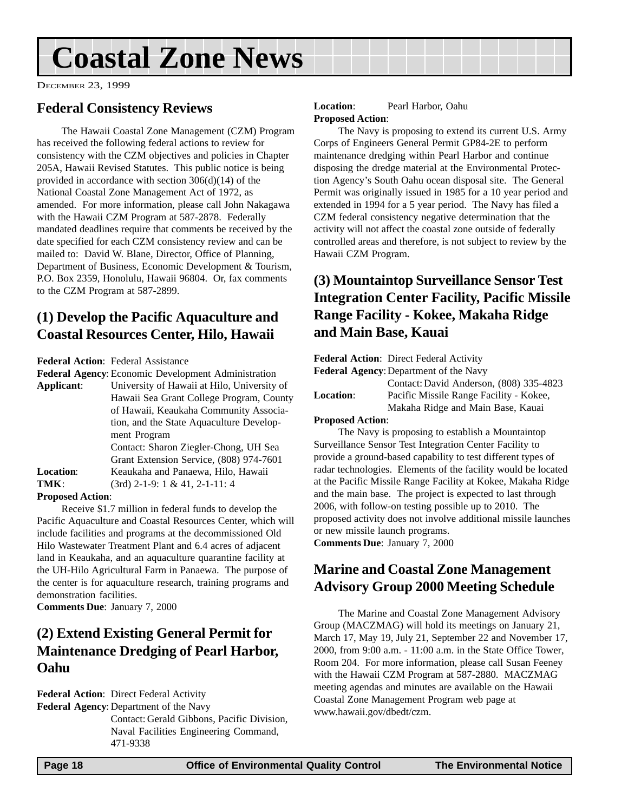## <span id="page-17-0"></span>**Coastal Zone News**

DECEMBER 23, 1999

#### **Federal Consistency Reviews**

The Hawaii Coastal Zone Management (CZM) Program has received the following federal actions to review for consistency with the CZM objectives and policies in Chapter 205A, Hawaii Revised Statutes. This public notice is being provided in accordance with section 306(d)(14) of the National Coastal Zone Management Act of 1972, as amended. For more information, please call John Nakagawa with the Hawaii CZM Program at 587-2878. Federally mandated deadlines require that comments be received by the date specified for each CZM consistency review and can be mailed to: David W. Blane, Director, Office of Planning, Department of Business, Economic Development & Tourism, P.O. Box 2359, Honolulu, Hawaii 96804. Or, fax comments to the CZM Program at 587-2899.

#### **(1) Develop the Pacific Aquaculture and Coastal Resources Center, Hilo, Hawaii**

**Federal Action**: Federal Assistance

**Federal Agency**: Economic Development Administration

**Applicant**: University of Hawaii at Hilo, University of Hawaii Sea Grant College Program, County of Hawaii, Keaukaha Community Association, and the State Aquaculture Development Program Contact: Sharon Ziegler-Chong, UH Sea Grant Extension Service, (808) 974-7601 **Location**: Keaukaha and Panaewa, Hilo, Hawaii **TMK**: (3rd) 2-1-9: 1 & 41, 2-1-11: 4

**Proposed Action**:

Receive \$1.7 million in federal funds to develop the Pacific Aquaculture and Coastal Resources Center, which will include facilities and programs at the decommissioned Old Hilo Wastewater Treatment Plant and 6.4 acres of adjacent land in Keaukaha, and an aquaculture quarantine facility at the UH-Hilo Agricultural Farm in Panaewa. The purpose of the center is for aquaculture research, training programs and demonstration facilities.

**Comments Due**: January 7, 2000

#### **(2) Extend Existing General Permit for Maintenance Dredging of Pearl Harbor, Oahu**

**Federal Action**: Direct Federal Activity

**Federal Agency**: Department of the Navy

Contact: Gerald Gibbons, Pacific Division, Naval Facilities Engineering Command, 471-9338

#### **Location**: Pearl Harbor, Oahu **Proposed Action**:

The Navy is proposing to extend its current U.S. Army Corps of Engineers General Permit GP84-2E to perform maintenance dredging within Pearl Harbor and continue disposing the dredge material at the Environmental Protection Agency's South Oahu ocean disposal site. The General Permit was originally issued in 1985 for a 10 year period and extended in 1994 for a 5 year period. The Navy has filed a CZM federal consistency negative determination that the activity will not affect the coastal zone outside of federally controlled areas and therefore, is not subject to review by the Hawaii CZM Program.

#### **(3) Mountaintop Surveillance Sensor Test Integration Center Facility, Pacific Missile Range Facility - Kokee, Makaha Ridge and Main Base, Kauai**

**Federal Action**: Direct Federal Activity **Federal Agency**:Department of the Navy Contact: David Anderson, (808) 335-4823 **Location**: Pacific Missile Range Facility - Kokee, Makaha Ridge and Main Base, Kauai **Proposed Action**: The Navy is proposing to establish a Mountaintop Surveillance Sensor Test Integration Center Facility to provide a ground-based capability to test different types of radar technologies. Elements of the facility would be located at the Pacific Missile Range Facility at Kokee, Makaha Ridge and the main base. The project is expected to last through 2006, with follow-on testing possible up to 2010. The proposed activity does not involve additional missile launches or new missile launch programs. **Comments Due**: January 7, 2000

#### **Marine and Coastal Zone Management Advisory Group 2000 Meeting Schedule**

The Marine and Coastal Zone Management Advisory Group (MACZMAG) will hold its meetings on January 21, March 17, May 19, July 21, September 22 and November 17, 2000, from 9:00 a.m. - 11:00 a.m. in the State Office Tower, Room 204. For more information, please call Susan Feeney with the Hawaii CZM Program at 587-2880. MACZMAG meeting agendas and minutes are available on the Hawaii Coastal Zone Management Program web page at www.hawaii.gov/dbedt/czm.